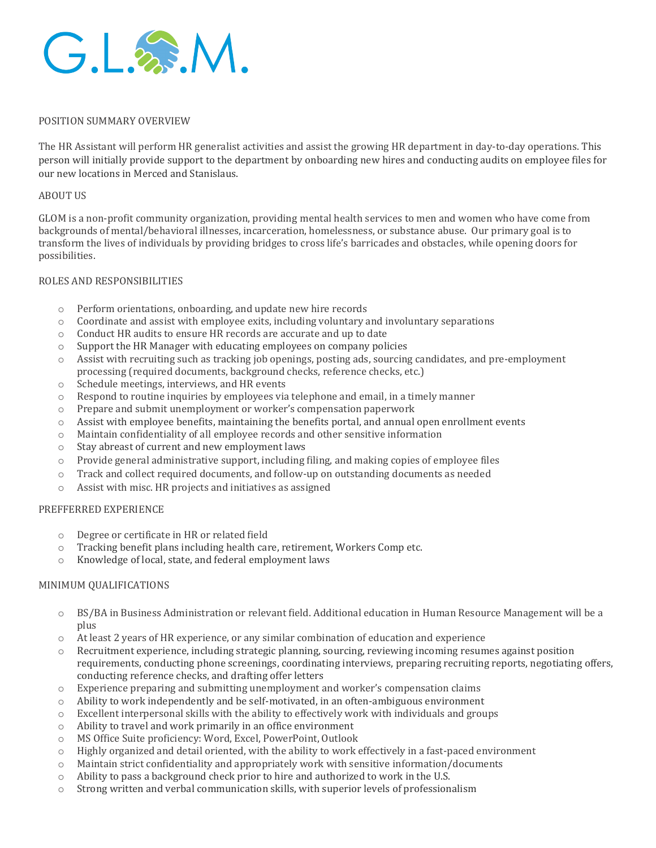

## POSITION SUMMARY OVERVIEW

The HR Assistant will perform HR generalist activities and assist the growing HR department in day-to-day operations. This person will initially provide support to the department by onboarding new hires and conducting audits on employee files for our new locations in Merced and Stanislaus.

#### ABOUT US

GLOM is a non-profit community organization, providing mental health services to men and women who have come from backgrounds of mental/behavioral illnesses, incarceration, homelessness, or substance abuse. Our primary goal is to transform the lives of individuals by providing bridges to cross life's barricades and obstacles, while opening doors for possibilities.

### ROLES AND RESPONSIBILITIES

- o Perform orientations, onboarding, and update new hire records
- o Coordinate and assist with employee exits, including voluntary and involuntary separations
- o Conduct HR audits to ensure HR records are accurate and up to date
- o Support the HR Manager with educating employees on company policies
- o Assist with recruiting such as tracking job openings, posting ads, sourcing candidates, and pre-employment processing (required documents, background checks, reference checks, etc.)
- o Schedule meetings, interviews, and HR events
- $\circ$  Respond to routine inquiries by employees via telephone and email, in a timely manner
- o Prepare and submit unemployment or worker's compensation paperwork
- $\circ$  Assist with employee benefits, maintaining the benefits portal, and annual open enrollment events
- o Maintain confidentiality of all employee records and other sensitive information
- o Stay abreast of current and new employment laws
- $\circ$  Provide general administrative support, including filing, and making copies of employee files
- o Track and collect required documents, and follow-up on outstanding documents as needed
- o Assist with misc. HR projects and initiatives as assigned

#### PREFFERRED EXPERIENCE

- o Degree or certificate in HR or related field
- o Tracking benefit plans including health care, retirement, Workers Comp etc.
- o Knowledge of local, state, and federal employment laws

## MINIMUM QUALIFICATIONS

- o BS/BA in Business Administration or relevant field. Additional education in Human Resource Management will be a plus
- o At least 2 years of HR experience, or any similar combination of education and experience
- o Recruitment experience, including strategic planning, sourcing, reviewing incoming resumes against position requirements, conducting phone screenings, coordinating interviews, preparing recruiting reports, negotiating offers, conducting reference checks, and drafting offer letters
- o Experience preparing and submitting unemployment and worker's compensation claims
- $\circ$  Ability to work independently and be self-motivated, in an often-ambiguous environment
- $\circ$  Excellent interpersonal skills with the ability to effectively work with individuals and groups
- o Ability to travel and work primarily in an office environment
- o MS Office Suite proficiency: Word, Excel, PowerPoint, Outlook
- $\circ$  Highly organized and detail oriented, with the ability to work effectively in a fast-paced environment
- $\circ$  Maintain strict confidentiality and appropriately work with sensitive information/documents
- $\circ$  Ability to pass a background check prior to hire and authorized to work in the U.S.
- o Strong written and verbal communication skills, with superior levels of professionalism